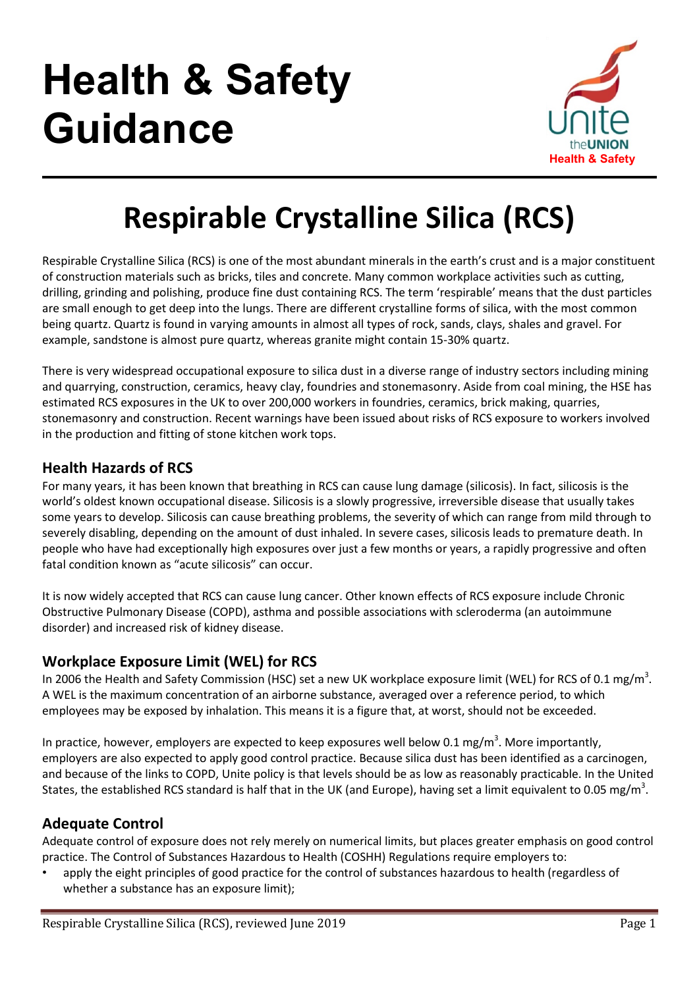# Health & Safety Guidance



# Respirable Crystalline Silica (RCS)

Respirable Crystalline Silica (RCS) is one of the most abundant minerals in the earth's crust and is a major constituent of construction materials such as bricks, tiles and concrete. Many common workplace activities such as cutting, drilling, grinding and polishing, produce fine dust containing RCS. The term 'respirable' means that the dust particles are small enough to get deep into the lungs. There are different crystalline forms of silica, with the most common being quartz. Quartz is found in varying amounts in almost all types of rock, sands, clays, shales and gravel. For example, sandstone is almost pure quartz, whereas granite might contain 15-30% quartz.

There is very widespread occupational exposure to silica dust in a diverse range of industry sectors including mining and quarrying, construction, ceramics, heavy clay, foundries and stonemasonry. Aside from coal mining, the HSE has estimated RCS exposures in the UK to over 200,000 workers in foundries, ceramics, brick making, quarries, stonemasonry and construction. Recent warnings have been issued about risks of RCS exposure to workers involved in the production and fitting of stone kitchen work tops.

# Health Hazards of RCS

For many years, it has been known that breathing in RCS can cause lung damage (silicosis). In fact, silicosis is the world's oldest known occupational disease. Silicosis is a slowly progressive, irreversible disease that usually takes some years to develop. Silicosis can cause breathing problems, the severity of which can range from mild through to severely disabling, depending on the amount of dust inhaled. In severe cases, silicosis leads to premature death. In people who have had exceptionally high exposures over just a few months or years, a rapidly progressive and often fatal condition known as "acute silicosis" can occur.

It is now widely accepted that RCS can cause lung cancer. Other known effects of RCS exposure include Chronic Obstructive Pulmonary Disease (COPD), asthma and possible associations with scleroderma (an autoimmune disorder) and increased risk of kidney disease.

# Workplace Exposure Limit (WEL) for RCS

In 2006 the Health and Safety Commission (HSC) set a new UK workplace exposure limit (WEL) for RCS of 0.1 mg/m<sup>3</sup>. A WEL is the maximum concentration of an airborne substance, averaged over a reference period, to which employees may be exposed by inhalation. This means it is a figure that, at worst, should not be exceeded.

In practice, however, employers are expected to keep exposures well below 0.1 mg/m<sup>3</sup>. More importantly, employers are also expected to apply good control practice. Because silica dust has been identified as a carcinogen, and because of the links to COPD, Unite policy is that levels should be as low as reasonably practicable. In the United States, the established RCS standard is half that in the UK (and Europe), having set a limit equivalent to 0.05 mg/m<sup>3</sup>.

# Adequate Control

Adequate control of exposure does not rely merely on numerical limits, but places greater emphasis on good control practice. The Control of Substances Hazardous to Health (COSHH) Regulations require employers to:

• apply the eight principles of good practice for the control of substances hazardous to health (regardless of whether a substance has an exposure limit);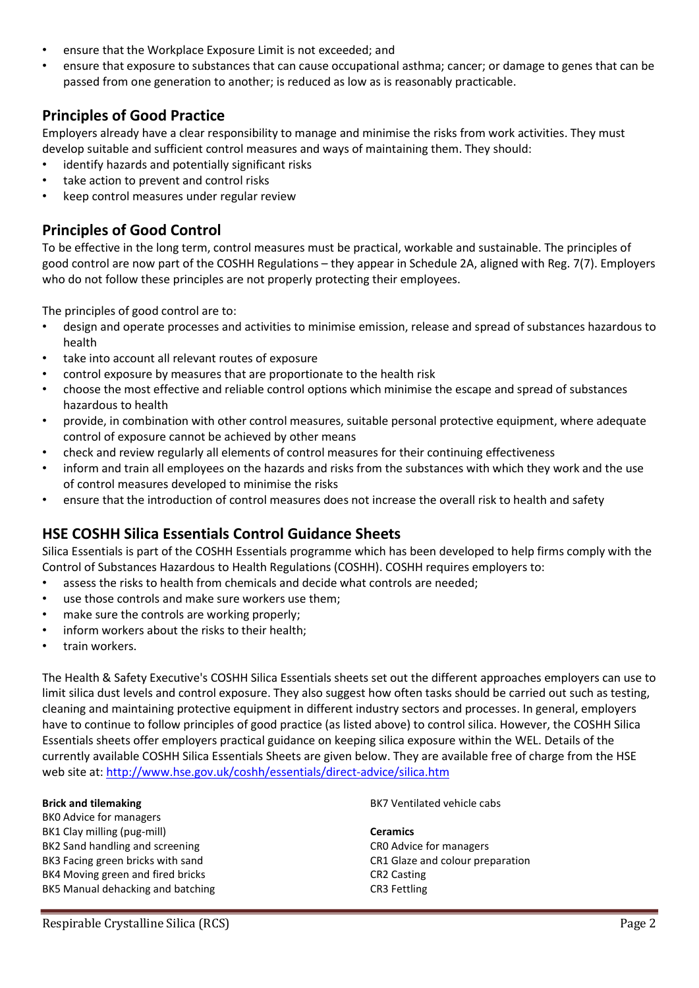- ensure that the Workplace Exposure Limit is not exceeded; and
- ensure that exposure to substances that can cause occupational asthma; cancer; or damage to genes that can be passed from one generation to another; is reduced as low as is reasonably practicable.

# Principles of Good Practice

Employers already have a clear responsibility to manage and minimise the risks from work activities. They must develop suitable and sufficient control measures and ways of maintaining them. They should:

- identify hazards and potentially significant risks
- take action to prevent and control risks
- keep control measures under regular review

# Principles of Good Control

To be effective in the long term, control measures must be practical, workable and sustainable. The principles of good control are now part of the COSHH Regulations – they appear in Schedule 2A, aligned with Reg. 7(7). Employers who do not follow these principles are not properly protecting their employees.

The principles of good control are to:

- design and operate processes and activities to minimise emission, release and spread of substances hazardous to health
- take into account all relevant routes of exposure
- control exposure by measures that are proportionate to the health risk
- choose the most effective and reliable control options which minimise the escape and spread of substances hazardous to health
- provide, in combination with other control measures, suitable personal protective equipment, where adequate control of exposure cannot be achieved by other means
- check and review regularly all elements of control measures for their continuing effectiveness
- inform and train all employees on the hazards and risks from the substances with which they work and the use of control measures developed to minimise the risks
- ensure that the introduction of control measures does not increase the overall risk to health and safety

# HSE COSHH Silica Essentials Control Guidance Sheets

Silica Essentials is part of the COSHH Essentials programme which has been developed to help firms comply with the Control of Substances Hazardous to Health Regulations (COSHH). COSHH requires employers to:

- assess the risks to health from chemicals and decide what controls are needed;
- use those controls and make sure workers use them:
- make sure the controls are working properly:
- inform workers about the risks to their health;
- train workers.

The Health & Safety Executive's COSHH Silica Essentials sheets set out the different approaches employers can use to limit silica dust levels and control exposure. They also suggest how often tasks should be carried out such as testing, cleaning and maintaining protective equipment in different industry sectors and processes. In general, employers have to continue to follow principles of good practice (as listed above) to control silica. However, the COSHH Silica Essentials sheets offer employers practical guidance on keeping silica exposure within the WEL. Details of the currently available COSHH Silica Essentials Sheets are given below. They are available free of charge from the HSE web site at: http://www.hse.gov.uk/coshh/essentials/direct-advice/silica.htm

Brick and tilemaking

BK0 Advice for managers BK1 Clay milling (pug-mill) BK2 Sand handling and screening BK3 Facing green bricks with sand BK4 Moving green and fired bricks BK5 Manual dehacking and batching BK7 Ventilated vehicle cabs

Ceramics CR0 Advice for managers CR1 Glaze and colour preparation CR2 Casting CR3 Fettling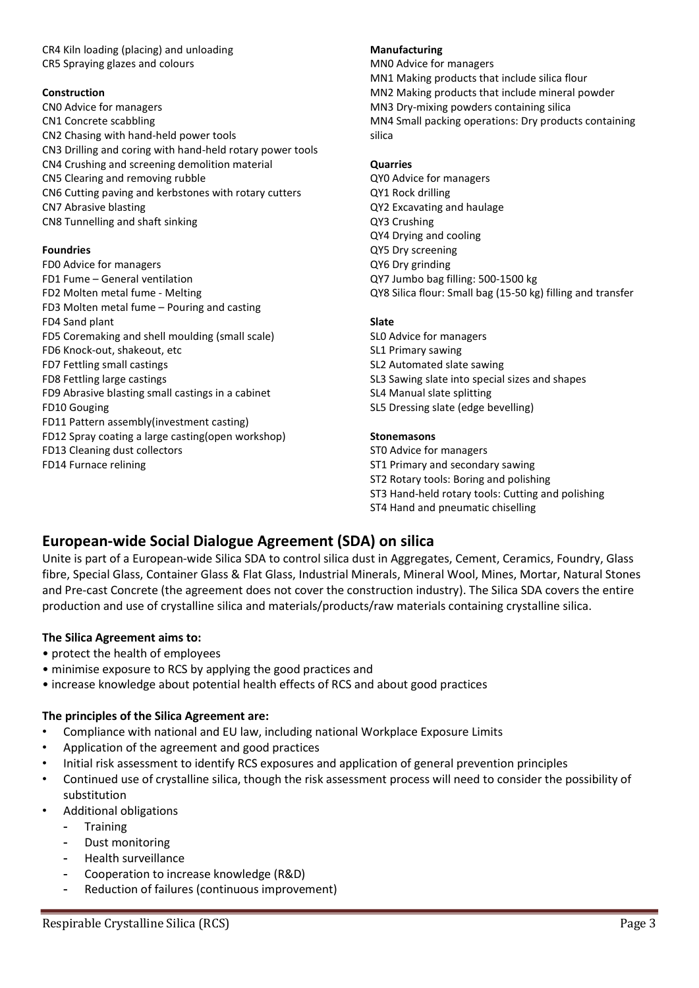CR4 Kiln loading (placing) and unloading CR5 Spraying glazes and colours

#### Construction

CN0 Advice for managers CN1 Concrete scabbling CN2 Chasing with hand-held power tools CN3 Drilling and coring with hand-held rotary power tools CN4 Crushing and screening demolition material CN5 Clearing and removing rubble CN6 Cutting paving and kerbstones with rotary cutters CN7 Abrasive blasting CN8 Tunnelling and shaft sinking

#### Foundries

FD0 Advice for managers FD1 Fume – General ventilation FD2 Molten metal fume - Melting FD3 Molten metal fume – Pouring and casting FD4 Sand plant FD5 Coremaking and shell moulding (small scale) FD6 Knock-out, shakeout, etc FD7 Fettling small castings FD8 Fettling large castings FD9 Abrasive blasting small castings in a cabinet FD10 Gouging FD11 Pattern assembly(investment casting) FD12 Spray coating a large casting(open workshop) FD13 Cleaning dust collectors FD14 Furnace relining

#### Manufacturing

MN0 Advice for managers MN1 Making products that include silica flour MN2 Making products that include mineral powder MN3 Dry-mixing powders containing silica MN4 Small packing operations: Dry products containing silica

#### **Quarries**

QY0 Advice for managers QY1 Rock drilling QY2 Excavating and haulage QY3 Crushing QY4 Drying and cooling QY5 Dry screening QY6 Dry grinding QY7 Jumbo bag filling: 500-1500 kg QY8 Silica flour: Small bag (15-50 kg) filling and transfer

#### Slate

SL0 Advice for managers SL1 Primary sawing SL2 Automated slate sawing SL3 Sawing slate into special sizes and shapes SL4 Manual slate splitting SL5 Dressing slate (edge bevelling)

#### Stonemasons

ST0 Advice for managers ST1 Primary and secondary sawing ST2 Rotary tools: Boring and polishing ST3 Hand-held rotary tools: Cutting and polishing ST4 Hand and pneumatic chiselling

# European-wide Social Dialogue Agreement (SDA) on silica

Unite is part of a European-wide Silica SDA to control silica dust in Aggregates, Cement, Ceramics, Foundry, Glass fibre, Special Glass, Container Glass & Flat Glass, Industrial Minerals, Mineral Wool, Mines, Mortar, Natural Stones and Pre-cast Concrete (the agreement does not cover the construction industry). The Silica SDA covers the entire production and use of crystalline silica and materials/products/raw materials containing crystalline silica.

#### The Silica Agreement aims to:

- protect the health of employees
- minimise exposure to RCS by applying the good practices and
- increase knowledge about potential health effects of RCS and about good practices

#### The principles of the Silica Agreement are:

- Compliance with national and EU law, including national Workplace Exposure Limits
- Application of the agreement and good practices
- Initial risk assessment to identify RCS exposures and application of general prevention principles
- Continued use of crystalline silica, though the risk assessment process will need to consider the possibility of substitution
- Additional obligations
	- **Training**
	- Dust monitoring
	- Health surveillance
	- Cooperation to increase knowledge (R&D)
	- Reduction of failures (continuous improvement)